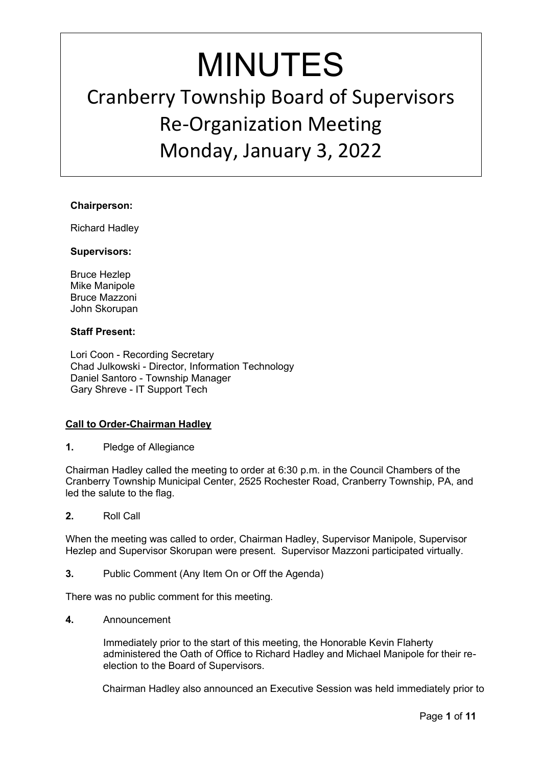# MINUTES

Cranberry Township Board of Supervisors Re-Organization Meeting Monday, January 3, 2022

## **Chairperson:**

Richard Hadley

#### **Supervisors:**

Bruce Hezlep Mike Manipole Bruce Mazzoni John Skorupan

## **Staff Present:**

Lori Coon - Recording Secretary Chad Julkowski - Director, Information Technology Daniel Santoro - Township Manager Gary Shreve - IT Support Tech

# **Call to Order-Chairman Hadley**

**1.** Pledge of Allegiance

Chairman Hadley called the meeting to order at 6:30 p.m. in the Council Chambers of the Cranberry Township Municipal Center, 2525 Rochester Road, Cranberry Township, PA, and led the salute to the flag.

**2.** Roll Call

When the meeting was called to order, Chairman Hadley, Supervisor Manipole, Supervisor Hezlep and Supervisor Skorupan were present. Supervisor Mazzoni participated virtually.

**3.** Public Comment (Any Item On or Off the Agenda)

There was no public comment for this meeting.

**4.** Announcement

Immediately prior to the start of this meeting, the Honorable Kevin Flaherty administered the Oath of Office to Richard Hadley and Michael Manipole for their reelection to the Board of Supervisors.

Chairman Hadley also announced an Executive Session was held immediately prior to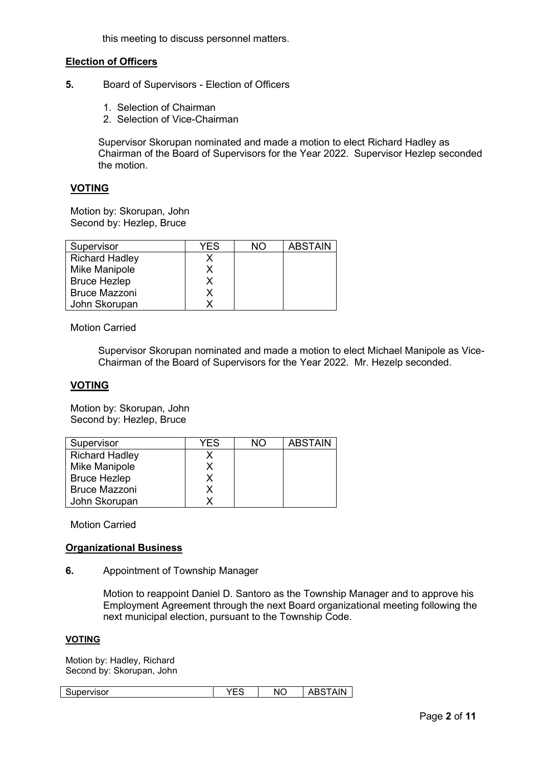this meeting to discuss personnel matters.

# **Election of Officers**

- **5.** Board of Supervisors Election of Officers
	- 1. Selection of Chairman
	- 2. Selection of Vice-Chairman

Supervisor Skorupan nominated and made a motion to elect Richard Hadley as Chairman of the Board of Supervisors for the Year 2022. Supervisor Hezlep seconded the motion.

# **VOTING**

Motion by: Skorupan, John Second by: Hezlep, Bruce

| Supervisor            | <b>YES</b> | חוח | <b>ABSTAIN</b> |
|-----------------------|------------|-----|----------------|
| <b>Richard Hadley</b> |            |     |                |
| Mike Manipole         |            |     |                |
| <b>Bruce Hezlep</b>   |            |     |                |
| <b>Bruce Mazzoni</b>  |            |     |                |
| John Skorupan         |            |     |                |

Motion Carried

Supervisor Skorupan nominated and made a motion to elect Michael Manipole as Vice-Chairman of the Board of Supervisors for the Year 2022. Mr. Hezelp seconded.

## **VOTING**

Motion by: Skorupan, John Second by: Hezlep, Bruce

| Supervisor            | YES | NΟ | <b>ABSTAIN</b> |
|-----------------------|-----|----|----------------|
| <b>Richard Hadley</b> |     |    |                |
| Mike Manipole         |     |    |                |
| <b>Bruce Hezlep</b>   |     |    |                |
| <b>Bruce Mazzoni</b>  |     |    |                |
| John Skorupan         |     |    |                |

Motion Carried

# **Organizational Business**

**6.** Appointment of Township Manager

Motion to reappoint Daniel D. Santoro as the Township Manager and to approve his Employment Agreement through the next Board organizational meeting following the next municipal election, pursuant to the Township Code.

#### **VOTING**

Motion by: Hadley, Richard Second by: Skorupan, John

|  | Supervisor | $\sim$<br>. w<br>$\sim$ | $N \cap$<br>. |  |
|--|------------|-------------------------|---------------|--|
|--|------------|-------------------------|---------------|--|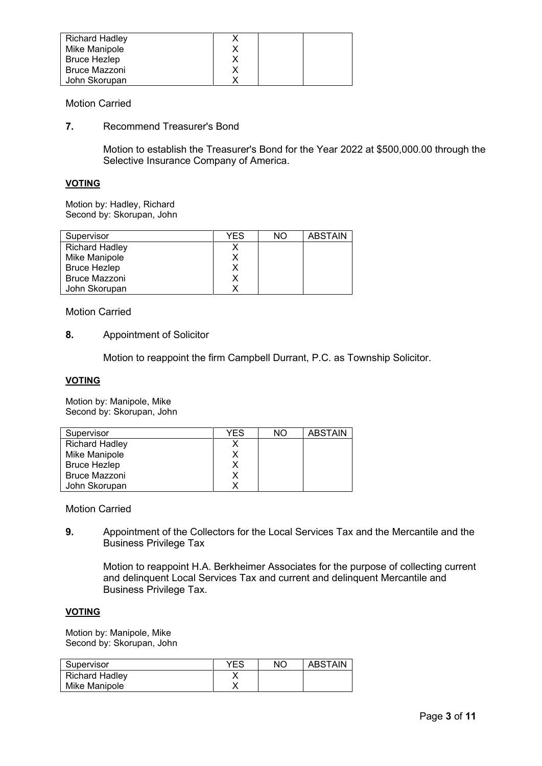| <b>Richard Hadley</b> |  |  |
|-----------------------|--|--|
| Mike Manipole         |  |  |
| <b>Bruce Hezlep</b>   |  |  |
| Bruce Mazzoni         |  |  |
| John Skorupan         |  |  |

**7.** Recommend Treasurer's Bond

Motion to establish the Treasurer's Bond for the Year 2022 at \$500,000.00 through the Selective Insurance Company of America.

#### **VOTING**

Motion by: Hadley, Richard Second by: Skorupan, John

| Supervisor            | YES | NΟ | <b>ABSTAIN</b> |
|-----------------------|-----|----|----------------|
| <b>Richard Hadley</b> |     |    |                |
| Mike Manipole         |     |    |                |
| <b>Bruce Hezlep</b>   |     |    |                |
| <b>Bruce Mazzoni</b>  |     |    |                |
| John Skorupan         |     |    |                |

Motion Carried

**8.** Appointment of Solicitor

Motion to reappoint the firm Campbell Durrant, P.C. as Township Solicitor.

#### **VOTING**

Motion by: Manipole, Mike Second by: Skorupan, John

| Supervisor            | YFS | NΟ | <b>ABSTAIN</b> |
|-----------------------|-----|----|----------------|
| <b>Richard Hadley</b> |     |    |                |
| Mike Manipole         |     |    |                |
| <b>Bruce Hezlep</b>   |     |    |                |
| <b>Bruce Mazzoni</b>  |     |    |                |
| John Skorupan         |     |    |                |

Motion Carried

**9.** Appointment of the Collectors for the Local Services Tax and the Mercantile and the Business Privilege Tax

Motion to reappoint H.A. Berkheimer Associates for the purpose of collecting current and delinquent Local Services Tax and current and delinquent Mercantile and Business Privilege Tax.

#### **VOTING**

Motion by: Manipole, Mike Second by: Skorupan, John

| Supervisor            | YES | <b>NC</b> | <b>ABSTAIN</b> |
|-----------------------|-----|-----------|----------------|
| <b>Richard Hadley</b> |     |           |                |
| Mike Manipole         |     |           |                |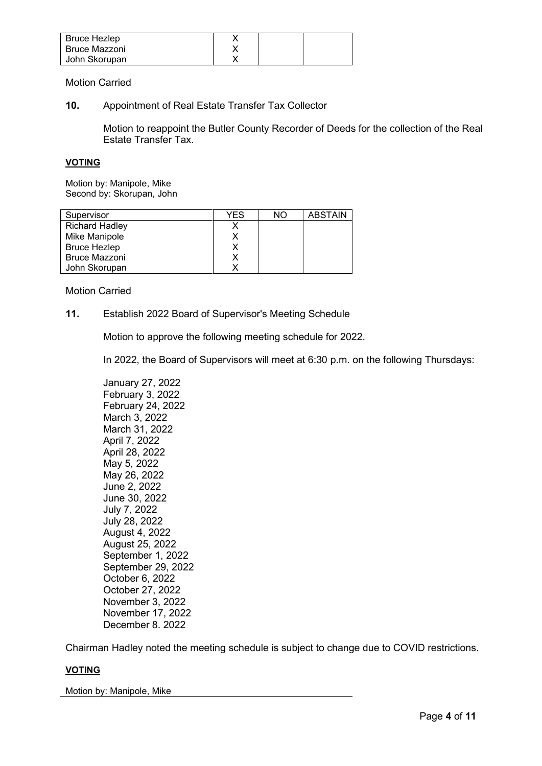| Bruce Hezlep  |  |  |
|---------------|--|--|
| Bruce Mazzoni |  |  |
| John Skorupan |  |  |

#### **10.** Appointment of Real Estate Transfer Tax Collector

Motion to reappoint the Butler County Recorder of Deeds for the collection of the Real Estate Transfer Tax.

#### **VOTING**

Motion by: Manipole, Mike Second by: Skorupan, John

| Supervisor            | YFS | NΟ | <b>ABSTAIN</b> |
|-----------------------|-----|----|----------------|
| <b>Richard Hadley</b> |     |    |                |
| Mike Manipole         |     |    |                |
| <b>Bruce Hezlep</b>   |     |    |                |
| <b>Bruce Mazzoni</b>  |     |    |                |
| John Skorupan         |     |    |                |

Motion Carried

## **11.** Establish 2022 Board of Supervisor's Meeting Schedule

Motion to approve the following meeting schedule for 2022.

In 2022, the Board of Supervisors will meet at 6:30 p.m. on the following Thursdays:

January 27, 2022 February 3, 2022 February 24, 2022 March 3, 2022 March 31, 2022 April 7, 2022 April 28, 2022 May 5, 2022 May 26, 2022 June 2, 2022 June 30, 2022 July 7, 2022 July 28, 2022 August 4, 2022 August 25, 2022 September 1, 2022 September 29, 2022 October 6, 2022 October 27, 2022 November 3, 2022 November 17, 2022 December 8. 2022

Chairman Hadley noted the meeting schedule is subject to change due to COVID restrictions.

#### **VOTING**

Motion by: Manipole, Mike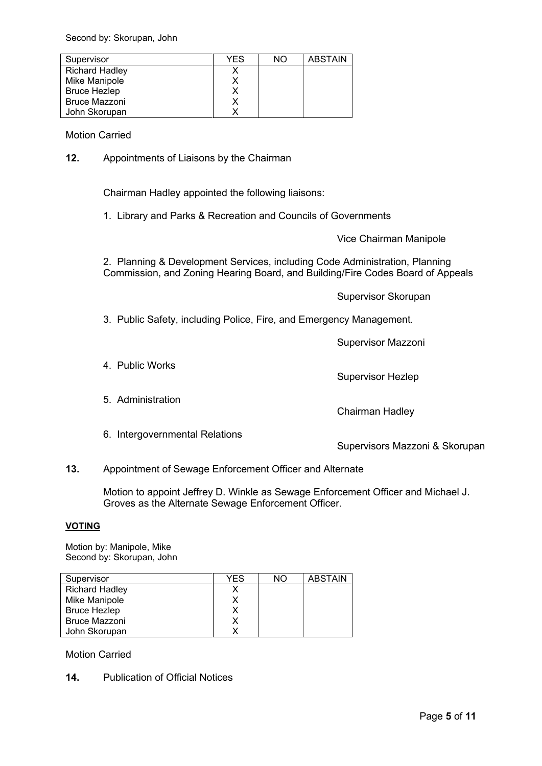Second by: Skorupan, John

| Supervisor            | YFS | NΟ | <b>ABSTAIN</b> |
|-----------------------|-----|----|----------------|
| <b>Richard Hadley</b> |     |    |                |
| Mike Manipole         |     |    |                |
| <b>Bruce Hezlep</b>   |     |    |                |
| <b>Bruce Mazzoni</b>  |     |    |                |
| John Skorupan         |     |    |                |

Motion Carried

**12.** Appointments of Liaisons by the Chairman

Chairman Hadley appointed the following liaisons:

1. Library and Parks & Recreation and Councils of Governments

Vice Chairman Manipole

2. Planning & Development Services, including Code Administration, Planning Commission, and Zoning Hearing Board, and Building/Fire Codes Board of Appeals

Supervisor Skorupan

3. Public Safety, including Police, Fire, and Emergency Management.

Supervisor Mazzoni

4. Public Works

5. Administration

Chairman Hadley

Supervisor Hezlep

6. Intergovernmental Relations

Supervisors Mazzoni & Skorupan

# **13.** Appointment of Sewage Enforcement Officer and Alternate

Motion to appoint Jeffrey D. Winkle as Sewage Enforcement Officer and Michael J. Groves as the Alternate Sewage Enforcement Officer.

#### **VOTING**

Motion by: Manipole, Mike Second by: Skorupan, John

| Supervisor            | <b>YES</b> | NΟ | <b>ABSTAIN</b> |
|-----------------------|------------|----|----------------|
| <b>Richard Hadley</b> |            |    |                |
| Mike Manipole         |            |    |                |
| <b>Bruce Hezlep</b>   |            |    |                |
| <b>Bruce Mazzoni</b>  |            |    |                |
| John Skorupan         |            |    |                |

Motion Carried

**14.** Publication of Official Notices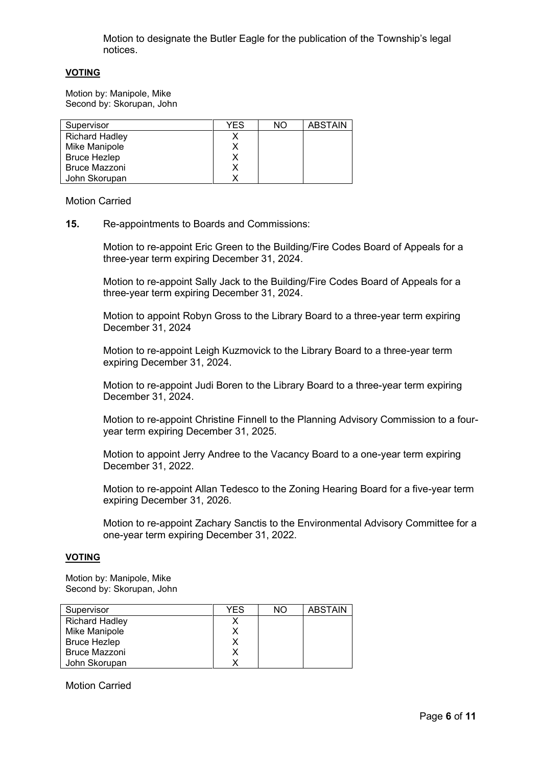Motion to designate the Butler Eagle for the publication of the Township's legal notices.

#### **VOTING**

Motion by: Manipole, Mike Second by: Skorupan, John

| Supervisor            | YFS | NO | <b>ABSTAIN</b> |
|-----------------------|-----|----|----------------|
| <b>Richard Hadley</b> |     |    |                |
| Mike Manipole         |     |    |                |
| Bruce Hezlep          |     |    |                |
| <b>Bruce Mazzoni</b>  |     |    |                |
| John Skorupan         |     |    |                |

Motion Carried

**15.** Re-appointments to Boards and Commissions:

Motion to re-appoint Eric Green to the Building/Fire Codes Board of Appeals for a three-year term expiring December 31, 2024.

Motion to re-appoint Sally Jack to the Building/Fire Codes Board of Appeals for a three-year term expiring December 31, 2024.

Motion to appoint Robyn Gross to the Library Board to a three-year term expiring December 31, 2024

Motion to re-appoint Leigh Kuzmovick to the Library Board to a three-year term expiring December 31, 2024.

Motion to re-appoint Judi Boren to the Library Board to a three-year term expiring December 31, 2024.

Motion to re-appoint Christine Finnell to the Planning Advisory Commission to a fouryear term expiring December 31, 2025.

Motion to appoint Jerry Andree to the Vacancy Board to a one-year term expiring December 31, 2022.

Motion to re-appoint Allan Tedesco to the Zoning Hearing Board for a five-year term expiring December 31, 2026.

Motion to re-appoint Zachary Sanctis to the Environmental Advisory Committee for a one-year term expiring December 31, 2022.

## **VOTING**

Motion by: Manipole, Mike Second by: Skorupan, John

| Supervisor            | YES | NΟ | <b>ABSTAIN</b> |
|-----------------------|-----|----|----------------|
| <b>Richard Hadley</b> |     |    |                |
| Mike Manipole         |     |    |                |
| <b>Bruce Hezlep</b>   |     |    |                |
| <b>Bruce Mazzoni</b>  |     |    |                |
| John Skorupan         |     |    |                |

Motion Carried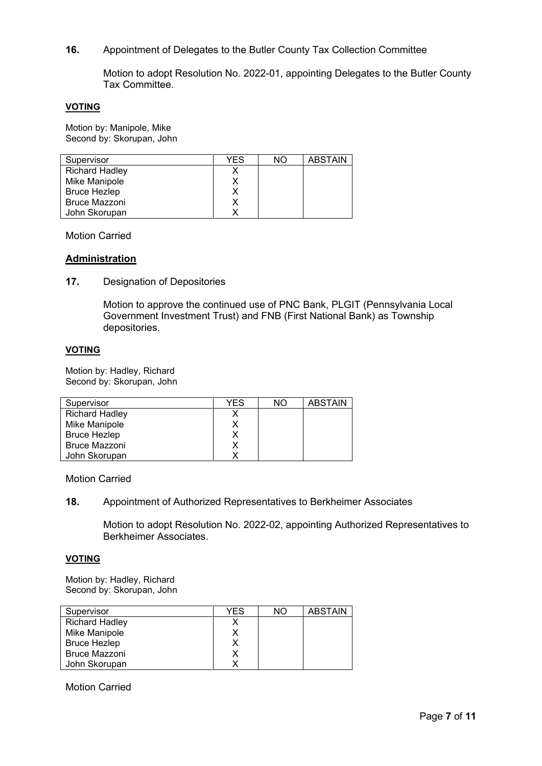**16.** Appointment of Delegates to the Butler County Tax Collection Committee

Motion to adopt Resolution No. 2022-01, appointing Delegates to the Butler County Tax Committee.

## **VOTING**

Motion by: Manipole, Mike Second by: Skorupan, John

| Supervisor            | YES | NΟ | <b>ABSTAIN</b> |
|-----------------------|-----|----|----------------|
| <b>Richard Hadley</b> |     |    |                |
| Mike Manipole         |     |    |                |
| <b>Bruce Hezlep</b>   |     |    |                |
| <b>Bruce Mazzoni</b>  |     |    |                |
| John Skorupan         |     |    |                |

Motion Carried

# **Administration**

**17.** Designation of Depositories

Motion to approve the continued use of PNC Bank, PLGIT (Pennsylvania Local Government Investment Trust) and FNB (First National Bank) as Township depositories.

#### **VOTING**

Motion by: Hadley, Richard Second by: Skorupan, John

| Supervisor            | <b>YES</b> | NO | <b>ABSTAIN</b> |
|-----------------------|------------|----|----------------|
| <b>Richard Hadley</b> |            |    |                |
| Mike Manipole         |            |    |                |
| <b>Bruce Hezlep</b>   |            |    |                |
| <b>Bruce Mazzoni</b>  |            |    |                |
| John Skorupan         |            |    |                |

Motion Carried

#### **18.** Appointment of Authorized Representatives to Berkheimer Associates

Motion to adopt Resolution No. 2022-02, appointing Authorized Representatives to Berkheimer Associates.

#### **VOTING**

Motion by: Hadley, Richard Second by: Skorupan, John

| Supervisor            | YES | NΟ | <b>ABSTAIN</b> |
|-----------------------|-----|----|----------------|
| <b>Richard Hadley</b> |     |    |                |
| Mike Manipole         |     |    |                |
| <b>Bruce Hezlep</b>   |     |    |                |
| <b>Bruce Mazzoni</b>  |     |    |                |
| John Skorupan         |     |    |                |

Motion Carried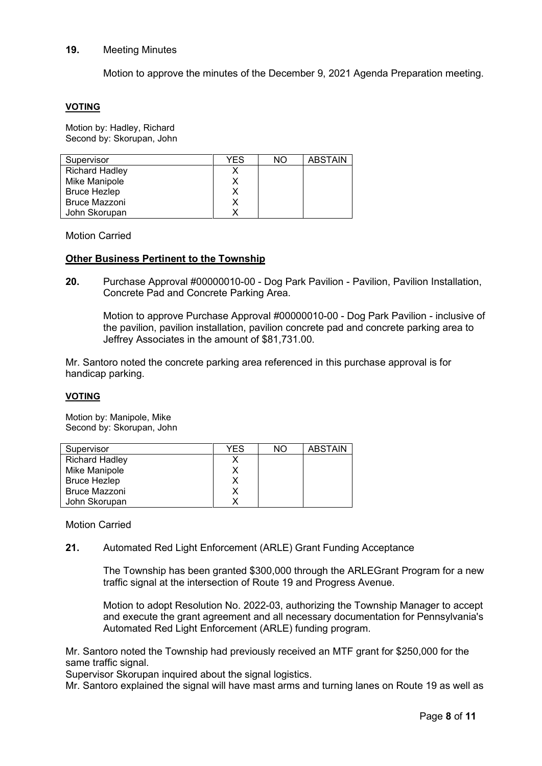## **19.** Meeting Minutes

Motion to approve the minutes of the December 9, 2021 Agenda Preparation meeting.

#### **VOTING**

Motion by: Hadley, Richard Second by: Skorupan, John

| Supervisor            | YES | NΟ | <b>ABSTAIN</b> |
|-----------------------|-----|----|----------------|
| <b>Richard Hadley</b> |     |    |                |
| Mike Manipole         |     |    |                |
| <b>Bruce Hezlep</b>   |     |    |                |
| <b>Bruce Mazzoni</b>  |     |    |                |
| John Skorupan         |     |    |                |

Motion Carried

#### **Other Business Pertinent to the Township**

**20.** Purchase Approval #00000010-00 - Dog Park Pavilion - Pavilion, Pavilion Installation, Concrete Pad and Concrete Parking Area.

Motion to approve Purchase Approval #00000010-00 - Dog Park Pavilion - inclusive of the pavilion, pavilion installation, pavilion concrete pad and concrete parking area to Jeffrey Associates in the amount of \$81,731.00.

Mr. Santoro noted the concrete parking area referenced in this purchase approval is for handicap parking.

# **VOTING**

Motion by: Manipole, Mike Second by: Skorupan, John

| Supervisor            | YES | NΟ | <b>ABSTAIN</b> |
|-----------------------|-----|----|----------------|
| <b>Richard Hadley</b> |     |    |                |
| Mike Manipole         |     |    |                |
| <b>Bruce Hezlep</b>   |     |    |                |
| <b>Bruce Mazzoni</b>  |     |    |                |
| John Skorupan         |     |    |                |

Motion Carried

**21.** Automated Red Light Enforcement (ARLE) Grant Funding Acceptance

The Township has been granted \$300,000 through the ARLEGrant Program for a new traffic signal at the intersection of Route 19 and Progress Avenue.

Motion to adopt Resolution No. 2022-03, authorizing the Township Manager to accept and execute the grant agreement and all necessary documentation for Pennsylvania's Automated Red Light Enforcement (ARLE) funding program.

Mr. Santoro noted the Township had previously received an MTF grant for \$250,000 for the same traffic signal.

Supervisor Skorupan inquired about the signal logistics.

Mr. Santoro explained the signal will have mast arms and turning lanes on Route 19 as well as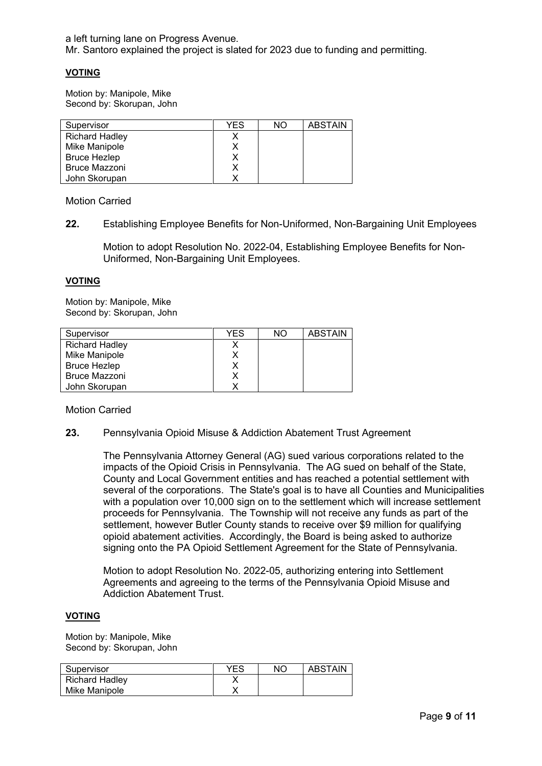a left turning lane on Progress Avenue. Mr. Santoro explained the project is slated for 2023 due to funding and permitting.

## **VOTING**

Motion by: Manipole, Mike Second by: Skorupan, John

| Supervisor            | YES | NΟ | <b>ABSTAIN</b> |
|-----------------------|-----|----|----------------|
| <b>Richard Hadley</b> |     |    |                |
| Mike Manipole         |     |    |                |
| <b>Bruce Hezlep</b>   |     |    |                |
| <b>Bruce Mazzoni</b>  |     |    |                |
| John Skorupan         |     |    |                |

Motion Carried

**22.** Establishing Employee Benefits for Non-Uniformed, Non-Bargaining Unit Employees

Motion to adopt Resolution No. 2022-04, Establishing Employee Benefits for Non-Uniformed, Non-Bargaining Unit Employees.

#### **VOTING**

Motion by: Manipole, Mike Second by: Skorupan, John

| Supervisor            | <b>YES</b> | NΟ | <b>ABSTAIN</b> |
|-----------------------|------------|----|----------------|
| <b>Richard Hadley</b> | х          |    |                |
| Mike Manipole         | Х          |    |                |
| <b>Bruce Hezlep</b>   | х          |    |                |
| <b>Bruce Mazzoni</b>  | Х          |    |                |
| John Skorupan         |            |    |                |

Motion Carried

**23.** Pennsylvania Opioid Misuse & Addiction Abatement Trust Agreement

The Pennsylvania Attorney General (AG) sued various corporations related to the impacts of the Opioid Crisis in Pennsylvania. The AG sued on behalf of the State, County and Local Government entities and has reached a potential settlement with several of the corporations. The State's goal is to have all Counties and Municipalities with a population over 10,000 sign on to the settlement which will increase settlement proceeds for Pennsylvania. The Township will not receive any funds as part of the settlement, however Butler County stands to receive over \$9 million for qualifying opioid abatement activities. Accordingly, the Board is being asked to authorize signing onto the PA Opioid Settlement Agreement for the State of Pennsylvania.

Motion to adopt Resolution No. 2022-05, authorizing entering into Settlement Agreements and agreeing to the terms of the Pennsylvania Opioid Misuse and Addiction Abatement Trust.

#### **VOTING**

Motion by: Manipole, Mike Second by: Skorupan, John

| Supervisor     | YF.S | NC | ABSTAIN |
|----------------|------|----|---------|
| Richard Hadley |      |    |         |
| Mike Manipole  |      |    |         |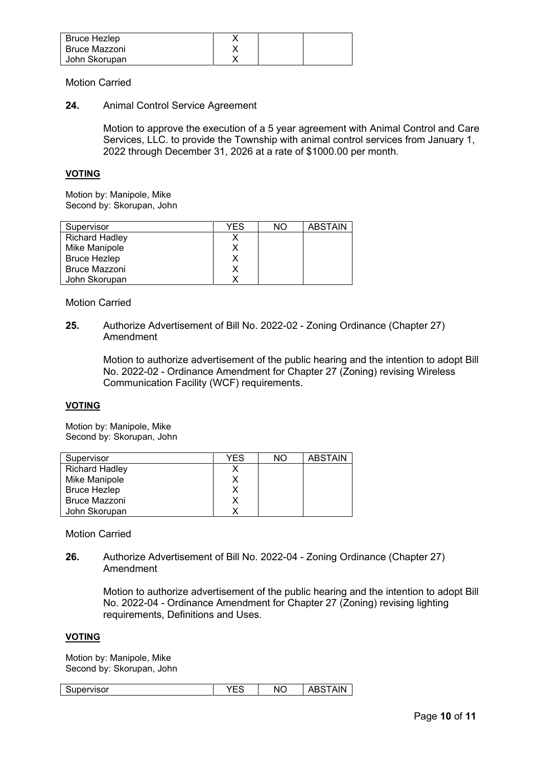| Bruce Hezlep  |  |  |
|---------------|--|--|
| Bruce Mazzoni |  |  |
| John Skorupan |  |  |

## **24.** Animal Control Service Agreement

Motion to approve the execution of a 5 year agreement with Animal Control and Care Services, LLC. to provide the Township with animal control services from January 1, 2022 through December 31, 2026 at a rate of \$1000.00 per month.

## **VOTING**

Motion by: Manipole, Mike Second by: Skorupan, John

| Supervisor            | YFS | NΟ | <b>ABSTAIN</b> |
|-----------------------|-----|----|----------------|
| <b>Richard Hadley</b> |     |    |                |
| Mike Manipole         |     |    |                |
| <b>Bruce Hezlep</b>   | х   |    |                |
| <b>Bruce Mazzoni</b>  | х   |    |                |
| John Skorupan         |     |    |                |

Motion Carried

#### **25.** Authorize Advertisement of Bill No. 2022-02 - Zoning Ordinance (Chapter 27) Amendment

Motion to authorize advertisement of the public hearing and the intention to adopt Bill No. 2022-02 - Ordinance Amendment for Chapter 27 (Zoning) revising Wireless Communication Facility (WCF) requirements.

#### **VOTING**

Motion by: Manipole, Mike Second by: Skorupan, John

| Supervisor            | <b>YFS</b> | NΟ | <b>ABSTAIN</b> |
|-----------------------|------------|----|----------------|
| <b>Richard Hadley</b> |            |    |                |
| Mike Manipole         |            |    |                |
| <b>Bruce Hezlep</b>   |            |    |                |
| <b>Bruce Mazzoni</b>  |            |    |                |
| John Skorupan         |            |    |                |

Motion Carried

**26.** Authorize Advertisement of Bill No. 2022-04 - Zoning Ordinance (Chapter 27) Amendment

Motion to authorize advertisement of the public hearing and the intention to adopt Bill No. 2022-04 - Ordinance Amendment for Chapter 27 (Zoning) revising lighting requirements, Definitions and Uses.

## **VOTING**

Motion by: Manipole, Mike Second by: Skorupan, John

|  | Supervisor | $\overline{\phantom{a}}$<br>. .<br>. w | - NC<br>$\sim$ |  |
|--|------------|----------------------------------------|----------------|--|
|--|------------|----------------------------------------|----------------|--|